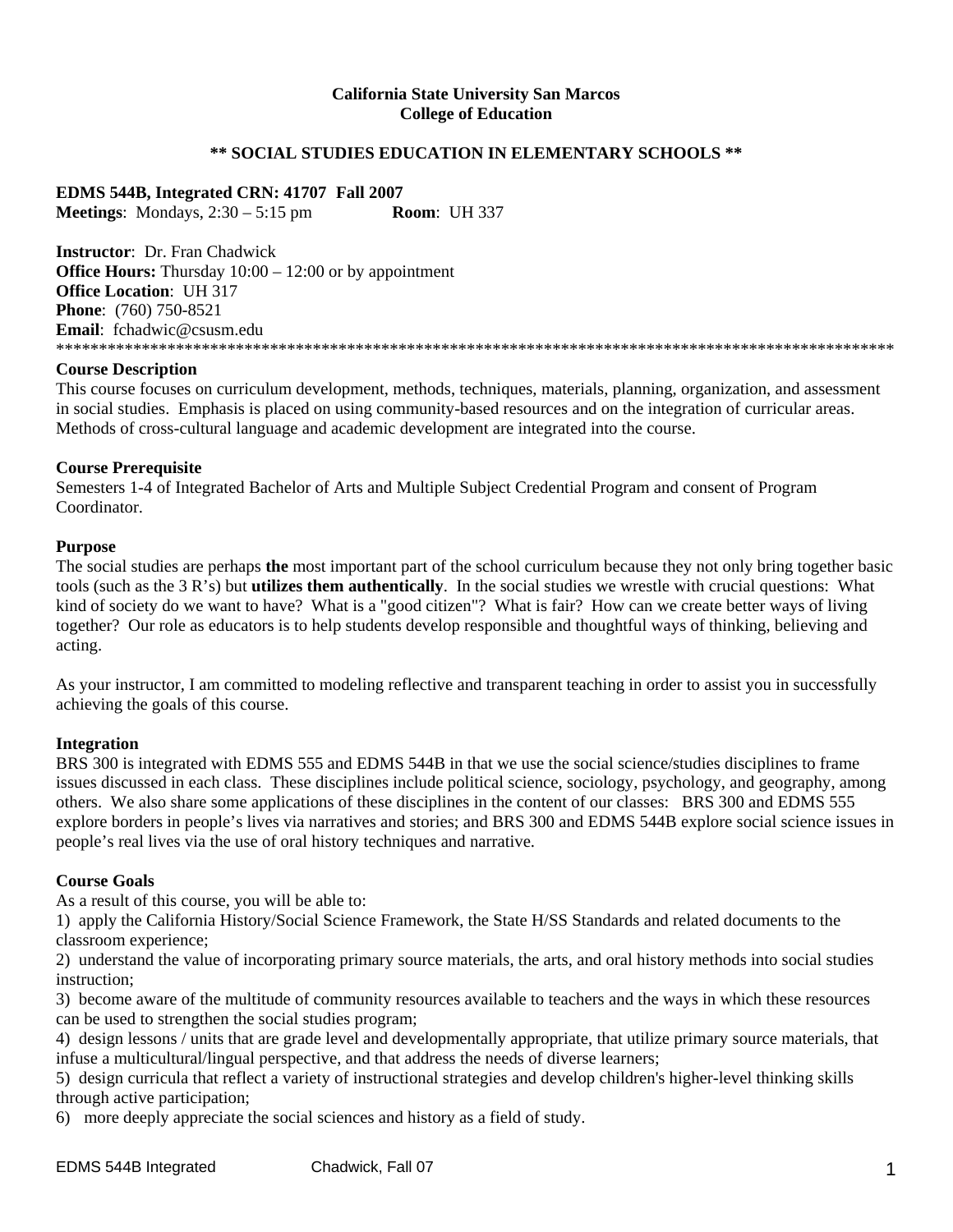#### **California State University San Marcos College of Education**

## **\*\* SOCIAL STUDIES EDUCATION IN ELEMENTARY SCHOOLS \*\***

**EDMS 544B, Integrated CRN: 41707 Fall 2007 Meetings**: Mondays, 2:30 – 5:15 pm **Room**: UH 337

**Instructor**: Dr. Fran Chadwick **Office Hours:** Thursday  $10:00 - 12:00$  or by appointment **Office Location**: UH 317 **Phone**: (760) 750-8521 **Email**: fchadwic@csusm.edu \*\*\*\*\*\*\*\*\*\*\*\*\*\*\*\*\*\*\*\*\*\*\*\*\*\*\*\*\*\*\*\*\*\*\*\*\*\*\*\*\*\*\*\*\*\*\*\*\*\*\*\*\*\*\*\*\*\*\*\*\*\*\*\*\*\*\*\*\*\*\*\*\*\*\*\*\*\*\*\*\*\*\*\*\*\*\*\*\*\*\*\*\*\*\*\*\*\*

#### **Course Description**

This course focuses on curriculum development, methods, techniques, materials, planning, organization, and assessment in social studies. Emphasis is placed on using community-based resources and on the integration of curricular areas. Methods of cross-cultural language and academic development are integrated into the course.

#### **Course Prerequisite**

Semesters 1-4 of Integrated Bachelor of Arts and Multiple Subject Credential Program and consent of Program Coordinator.

#### **Purpose**

The social studies are perhaps **the** most important part of the school curriculum because they not only bring together basic tools (such as the 3 R's) but **utilizes them authentically**. In the social studies we wrestle with crucial questions: What kind of society do we want to have? What is a "good citizen"? What is fair? How can we create better ways of living together? Our role as educators is to help students develop responsible and thoughtful ways of thinking, believing and acting.

As your instructor, I am committed to modeling reflective and transparent teaching in order to assist you in successfully achieving the goals of this course.

## **Integration**

BRS 300 is integrated with EDMS 555 and EDMS 544B in that we use the social science/studies disciplines to frame issues discussed in each class. These disciplines include political science, sociology, psychology, and geography, among others. We also share some applications of these disciplines in the content of our classes: BRS 300 and EDMS 555 explore borders in people's lives via narratives and stories; and BRS 300 and EDMS 544B explore social science issues in people's real lives via the use of oral history techniques and narrative.

#### **Course Goals**

As a result of this course, you will be able to:

1) apply the California History/Social Science Framework, the State H/SS Standards and related documents to the classroom experience;

2) understand the value of incorporating primary source materials, the arts, and oral history methods into social studies instruction;

3) become aware of the multitude of community resources available to teachers and the ways in which these resources can be used to strengthen the social studies program;

4) design lessons / units that are grade level and developmentally appropriate, that utilize primary source materials, that infuse a multicultural/lingual perspective, and that address the needs of diverse learners;

5) design curricula that reflect a variety of instructional strategies and develop children's higher-level thinking skills through active participation;

6) more deeply appreciate the social sciences and history as a field of study.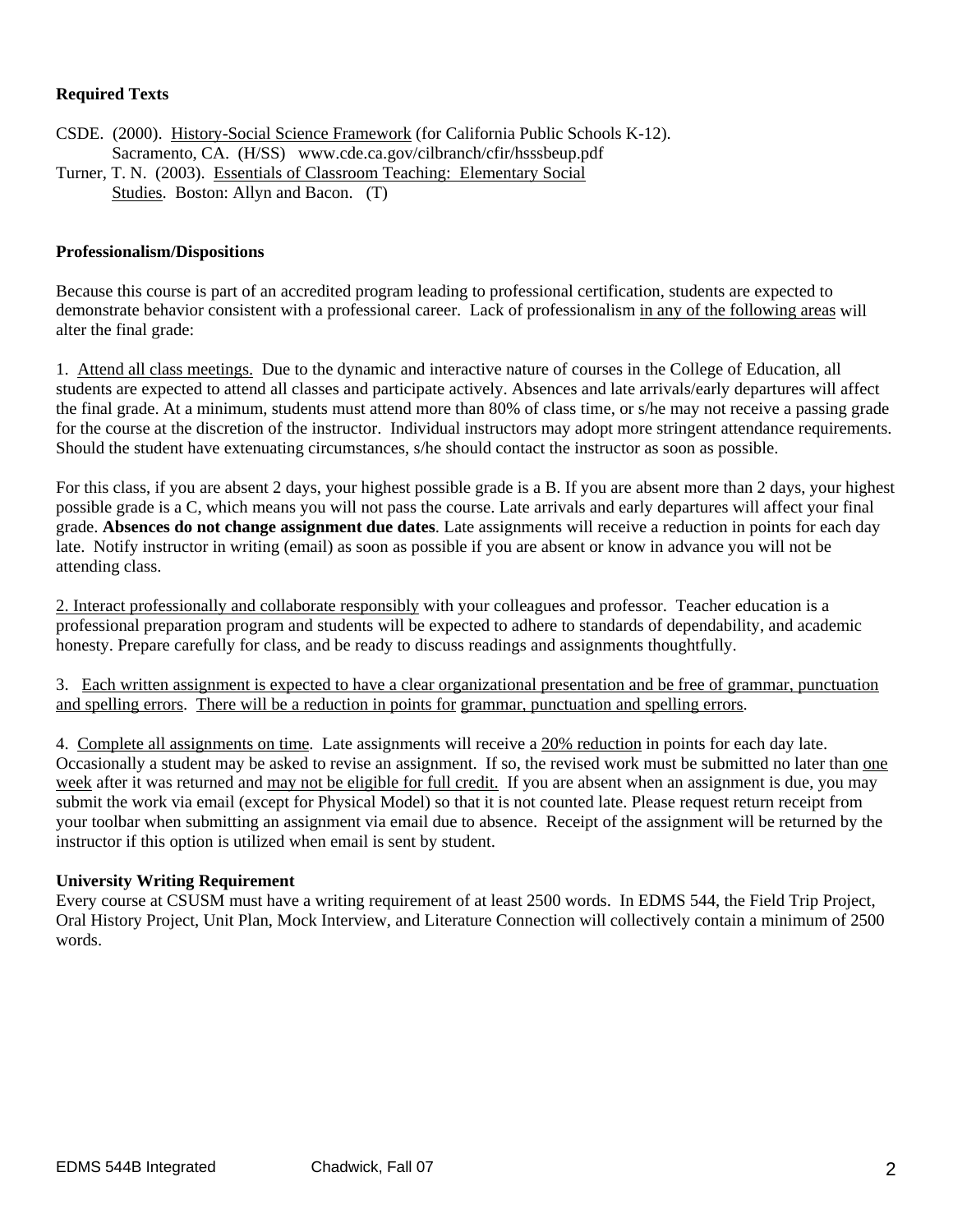# **Required Texts**

CSDE. (2000). History-Social Science Framework (for California Public Schools K-12). Sacramento, CA. (H/SS) www.cde.ca.gov/cilbranch/cfir/hsssbeup.pdf Turner, T. N. (2003). Essentials of Classroom Teaching: Elementary Social Studies. Boston: Allyn and Bacon. (T)

## **Professionalism/Dispositions**

Because this course is part of an accredited program leading to professional certification, students are expected to demonstrate behavior consistent with a professional career. Lack of professionalism in any of the following areas will alter the final grade:

1. Attend all class meetings. Due to the dynamic and interactive nature of courses in the College of Education, all students are expected to attend all classes and participate actively. Absences and late arrivals/early departures will affect the final grade. At a minimum, students must attend more than 80% of class time, or s/he may not receive a passing grade for the course at the discretion of the instructor. Individual instructors may adopt more stringent attendance requirements. Should the student have extenuating circumstances, s/he should contact the instructor as soon as possible.

For this class, if you are absent 2 days, your highest possible grade is a B. If you are absent more than 2 days, your highest possible grade is a C, which means you will not pass the course. Late arrivals and early departures will affect your final grade. **Absences do not change assignment due dates**. Late assignments will receive a reduction in points for each day late. Notify instructor in writing (email) as soon as possible if you are absent or know in advance you will not be attending class.

2. Interact professionally and collaborate responsibly with your colleagues and professor. Teacher education is a professional preparation program and students will be expected to adhere to standards of dependability, and academic honesty. Prepare carefully for class, and be ready to discuss readings and assignments thoughtfully.

3. Each written assignment is expected to have a clear organizational presentation and be free of grammar, punctuation and spelling errors. There will be a reduction in points for grammar, punctuation and spelling errors.

4. Complete all assignments on time. Late assignments will receive a 20% reduction in points for each day late. Occasionally a student may be asked to revise an assignment. If so, the revised work must be submitted no later than one week after it was returned and may not be eligible for full credit. If you are absent when an assignment is due, you may submit the work via email (except for Physical Model) so that it is not counted late. Please request return receipt from your toolbar when submitting an assignment via email due to absence. Receipt of the assignment will be returned by the instructor if this option is utilized when email is sent by student.

## **University Writing Requirement**

Every course at CSUSM must have a writing requirement of at least 2500 words. In EDMS 544, the Field Trip Project, Oral History Project, Unit Plan, Mock Interview, and Literature Connection will collectively contain a minimum of 2500 words.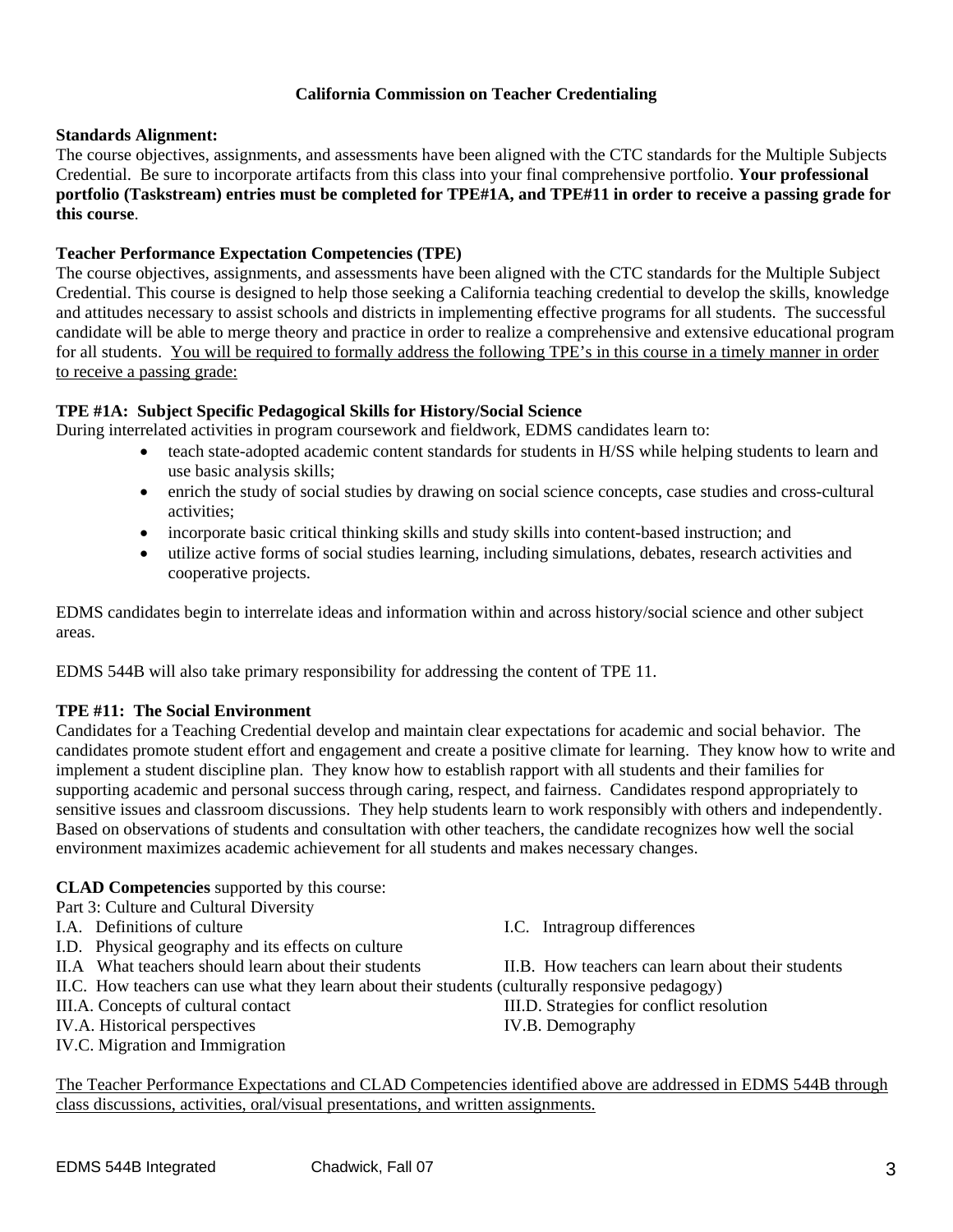# **California Commission on Teacher Credentialing**

#### **Standards Alignment:**

The course objectives, assignments, and assessments have been aligned with the CTC standards for the Multiple Subjects Credential. Be sure to incorporate artifacts from this class into your final comprehensive portfolio. **Your professional portfolio (Taskstream) entries must be completed for TPE#1A, and TPE#11 in order to receive a passing grade for this course**.

## **Teacher Performance Expectation Competencies (TPE)**

The course objectives, assignments, and assessments have been aligned with the CTC standards for the Multiple Subject Credential. This course is designed to help those seeking a California teaching credential to develop the skills, knowledge and attitudes necessary to assist schools and districts in implementing effective programs for all students. The successful candidate will be able to merge theory and practice in order to realize a comprehensive and extensive educational program for all students. You will be required to formally address the following TPE's in this course in a timely manner in order to receive a passing grade:

# **TPE #1A: Subject Specific Pedagogical Skills for History/Social Science**

During interrelated activities in program coursework and fieldwork, EDMS candidates learn to:

- teach state-adopted academic content standards for students in H/SS while helping students to learn and use basic analysis skills;
- enrich the study of social studies by drawing on social science concepts, case studies and cross-cultural activities;
- incorporate basic critical thinking skills and study skills into content-based instruction; and
- utilize active forms of social studies learning, including simulations, debates, research activities and cooperative projects.

EDMS candidates begin to interrelate ideas and information within and across history/social science and other subject areas.

EDMS 544B will also take primary responsibility for addressing the content of TPE 11.

## **TPE #11: The Social Environment**

Candidates for a Teaching Credential develop and maintain clear expectations for academic and social behavior. The candidates promote student effort and engagement and create a positive climate for learning. They know how to write and implement a student discipline plan. They know how to establish rapport with all students and their families for supporting academic and personal success through caring, respect, and fairness. Candidates respond appropriately to sensitive issues and classroom discussions. They help students learn to work responsibly with others and independently. Based on observations of students and consultation with other teachers, the candidate recognizes how well the social environment maximizes academic achievement for all students and makes necessary changes.

## **CLAD Competencies** supported by this course:

Part 3: Culture and Cultural Diversity

- I.A. Definitions of culture I.C. Intragroup differences
- I.D. Physical geography and its effects on culture
- 
- II.C. How teachers can use what they learn about their students (culturally responsive pedagogy)
- 
- IV.A. Historical perspectives IV.B. Demography
- IV.C. Migration and Immigration

II.A What teachers should learn about their students II.B. How teachers can learn about their students

III.A. Concepts of cultural contact III.D. Strategies for conflict resolution

The Teacher Performance Expectations and CLAD Competencies identified above are addressed in EDMS 544B through class discussions, activities, oral/visual presentations, and written assignments.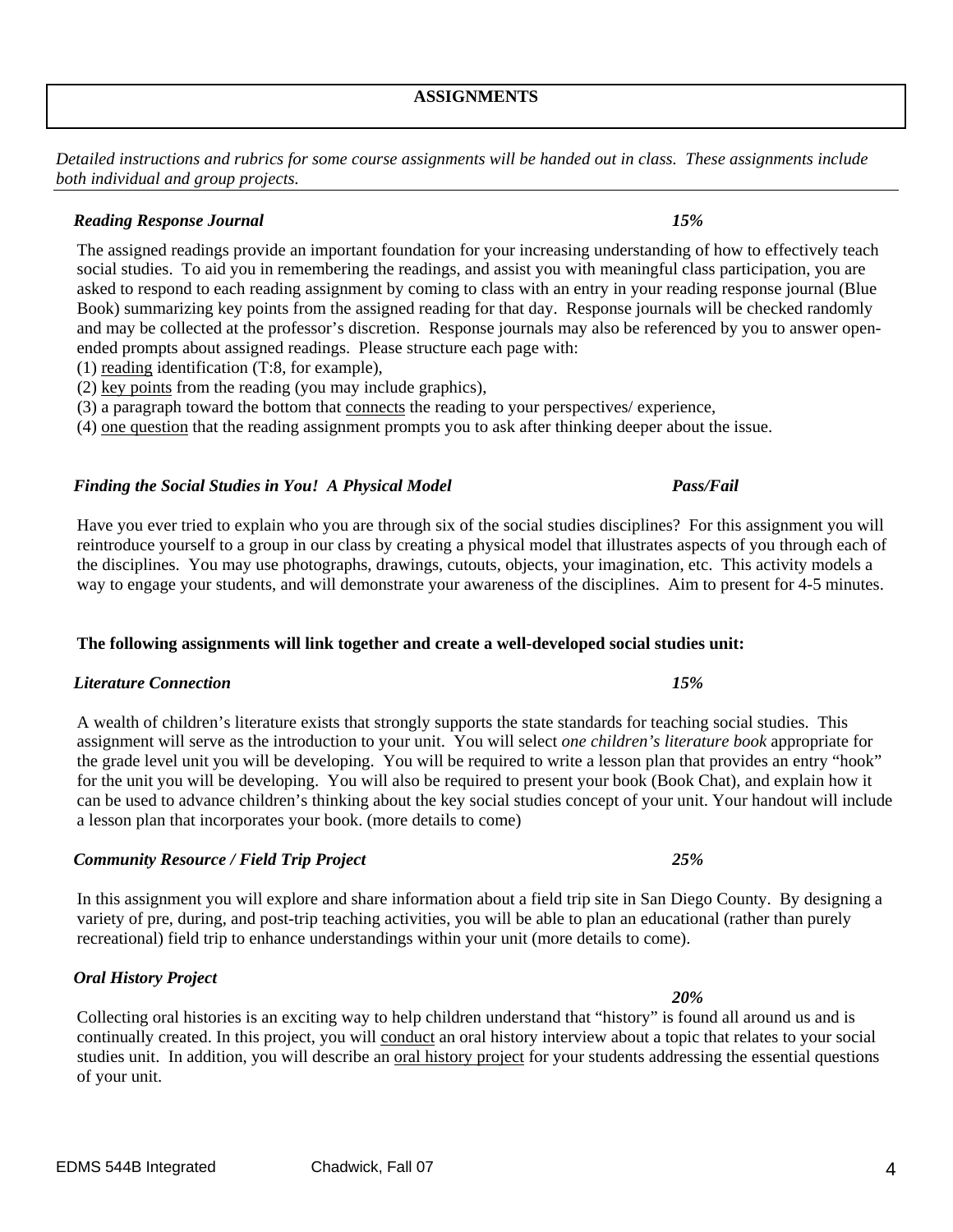*Detailed instructions and rubrics for some course assignments will be handed out in class. These assignments include both individual and group projects.* 

## *Reading Response Journal 15%*

The assigned readings provide an important foundation for your increasing understanding of how to effectively teach social studies. To aid you in remembering the readings, and assist you with meaningful class participation, you are asked to respond to each reading assignment by coming to class with an entry in your reading response journal (Blue Book) summarizing key points from the assigned reading for that day. Response journals will be checked randomly and may be collected at the professor's discretion. Response journals may also be referenced by you to answer openended prompts about assigned readings. Please structure each page with:

- (1) reading identification (T:8, for example),
- (2) key points from the reading (you may include graphics),
- (3) a paragraph toward the bottom that connects the reading to your perspectives/ experience,

(4) one question that the reading assignment prompts you to ask after thinking deeper about the issue.

## *Finding the Social Studies in You! A Physical Model Pass/Fail*

Have you ever tried to explain who you are through six of the social studies disciplines? For this assignment you will reintroduce yourself to a group in our class by creating a physical model that illustrates aspects of you through each of the disciplines. You may use photographs, drawings, cutouts, objects, your imagination, etc. This activity models a way to engage your students, and will demonstrate your awareness of the disciplines. Aim to present for 4-5 minutes.

## **The following assignments will link together and create a well-developed social studies unit:**

## *Literature Connection 15%*

A wealth of children's literature exists that strongly supports the state standards for teaching social studies. This assignment will serve as the introduction to your unit. You will select *one children's literature book* appropriate for the grade level unit you will be developing. You will be required to write a lesson plan that provides an entry "hook" for the unit you will be developing. You will also be required to present your book (Book Chat), and explain how it can be used to advance children's thinking about the key social studies concept of your unit. Your handout will include a lesson plan that incorporates your book. (more details to come)

## *Community Resource / Field Trip Project 25%*

In this assignment you will explore and share information about a field trip site in San Diego County. By designing a variety of pre, during, and post-trip teaching activities, you will be able to plan an educational (rather than purely recreational) field trip to enhance understandings within your unit (more details to come).

*Oral History Project* 

Collecting oral histories is an exciting way to help children understand that "history" is found all around us and is continually created. In this project, you will conduct an oral history interview about a topic that relates to your social studies unit. In addition, you will describe an oral history project for your students addressing the essential questions of your unit.

 *20%*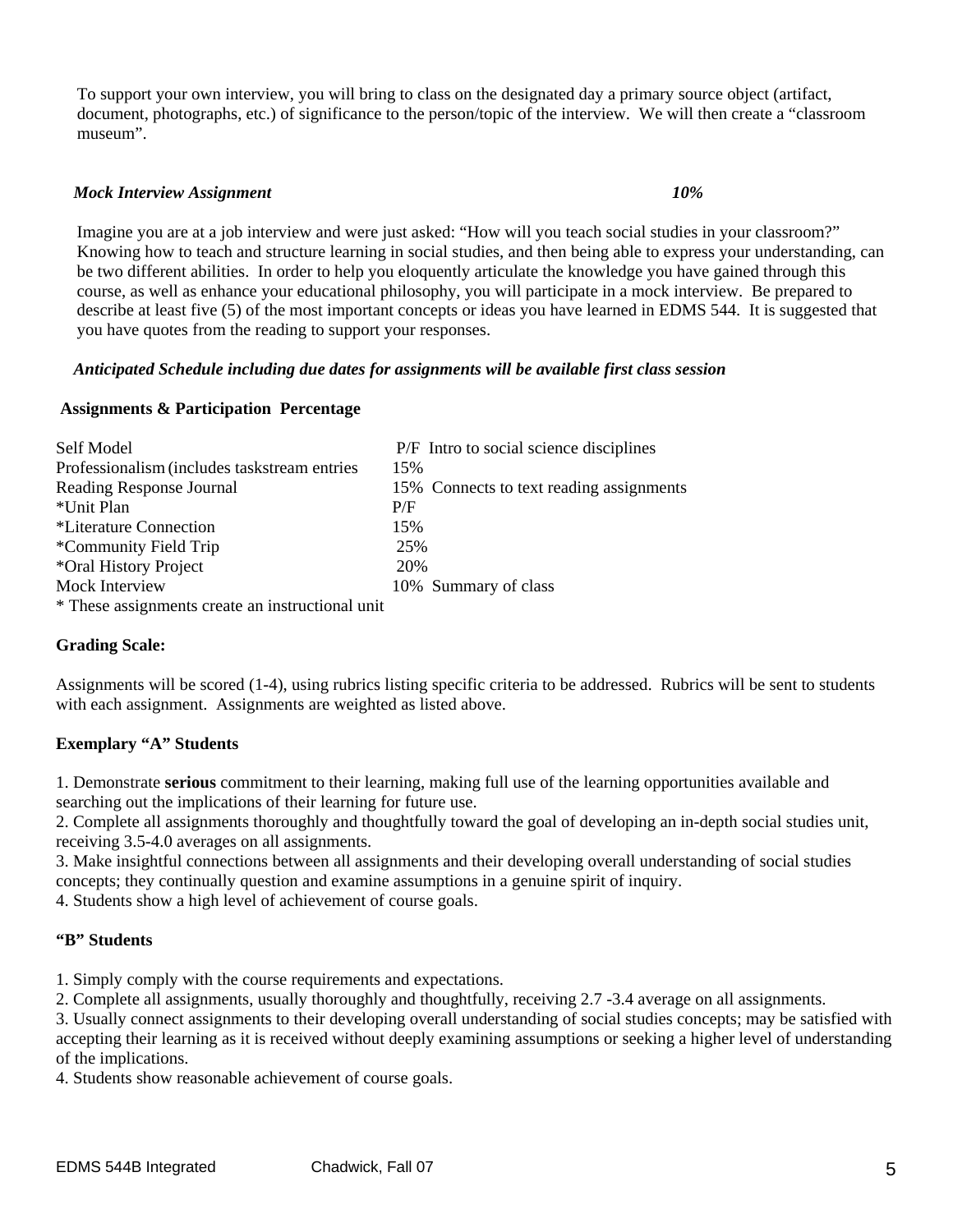To support your own interview, you will bring to class on the designated day a primary source object (artifact, document, photographs, etc.) of significance to the person/topic of the interview. We will then create a "classroom museum".

#### *Mock Interview Assignment 10%*

Imagine you are at a job interview and were just asked: "How will you teach social studies in your classroom?" Knowing how to teach and structure learning in social studies, and then being able to express your understanding, can be two different abilities. In order to help you eloquently articulate the knowledge you have gained through this course, as well as enhance your educational philosophy, you will participate in a mock interview. Be prepared to describe at least five (5) of the most important concepts or ideas you have learned in EDMS 544. It is suggested that you have quotes from the reading to support your responses.

#### *Anticipated Schedule including due dates for assignments will be available first class session*

#### **Assignments & Participation Percentage**

| Self Model                                       | P/F Intro to social science disciplines  |
|--------------------------------------------------|------------------------------------------|
| Professionalism (includes taskstream entries     | 15%                                      |
| Reading Response Journal                         | 15% Connects to text reading assignments |
| *Unit Plan                                       | P/F                                      |
| *Literature Connection                           | 15%                                      |
| *Community Field Trip                            | 25%                                      |
| *Oral History Project                            | 20%                                      |
| Mock Interview                                   | 10% Summary of class                     |
| * These assignments create an instructional unit |                                          |

## **Grading Scale:**

Assignments will be scored (1-4), using rubrics listing specific criteria to be addressed. Rubrics will be sent to students with each assignment. Assignments are weighted as listed above.

## **Exemplary "A" Students**

1. Demonstrate **serious** commitment to their learning, making full use of the learning opportunities available and searching out the implications of their learning for future use.

2. Complete all assignments thoroughly and thoughtfully toward the goal of developing an in-depth social studies unit, receiving 3.5-4.0 averages on all assignments.

3. Make insightful connections between all assignments and their developing overall understanding of social studies concepts; they continually question and examine assumptions in a genuine spirit of inquiry.

4. Students show a high level of achievement of course goals.

#### **"B" Students**

1. Simply comply with the course requirements and expectations.

2. Complete all assignments, usually thoroughly and thoughtfully, receiving 2.7 -3.4 average on all assignments.

3. Usually connect assignments to their developing overall understanding of social studies concepts; may be satisfied with accepting their learning as it is received without deeply examining assumptions or seeking a higher level of understanding of the implications.

4. Students show reasonable achievement of course goals.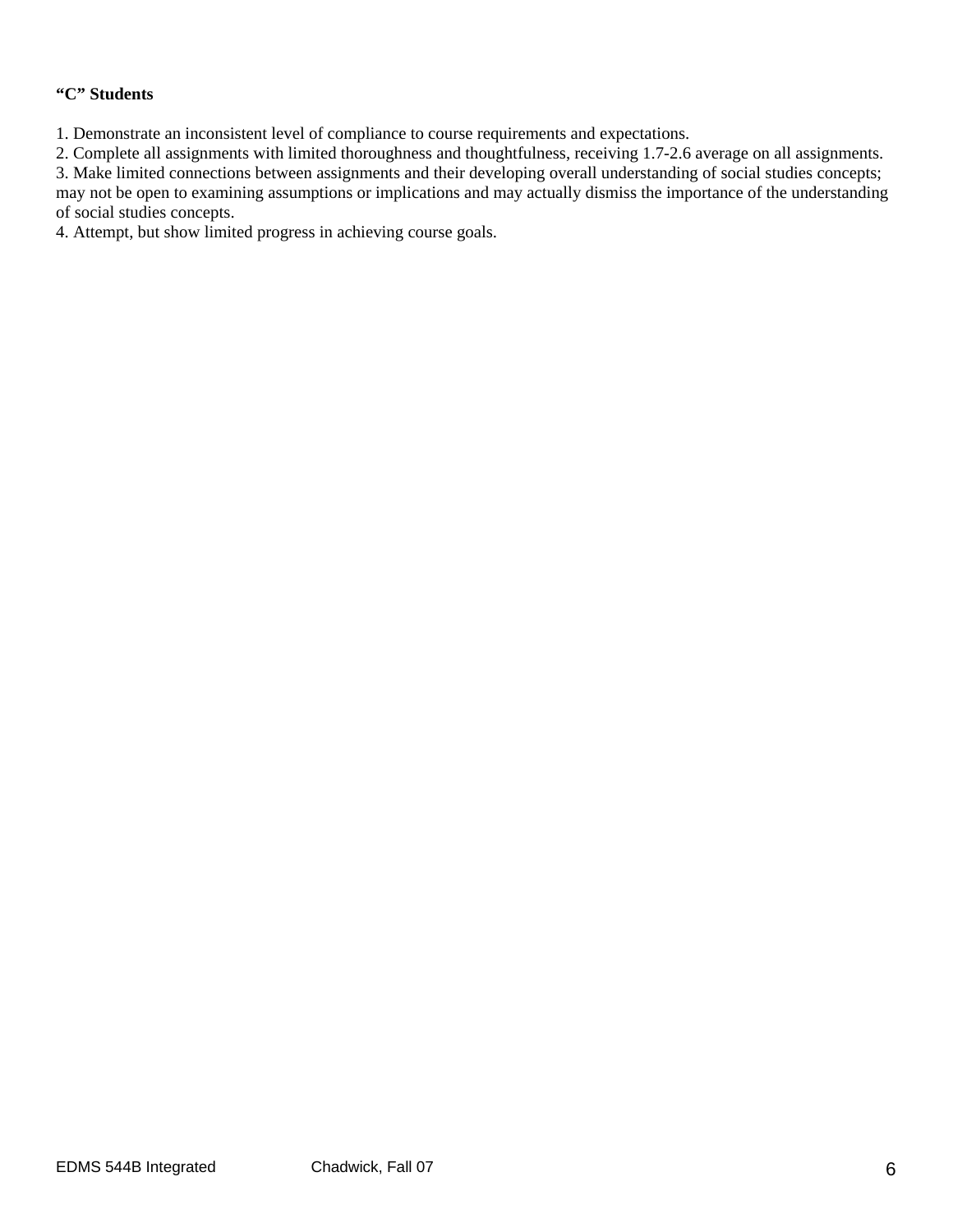# **"C" Students**

1. Demonstrate an inconsistent level of compliance to course requirements and expectations.

2. Complete all assignments with limited thoroughness and thoughtfulness, receiving 1.7-2.6 average on all assignments.

3. Make limited connections between assignments and their developing overall understanding of social studies concepts; may not be open to examining assumptions or implications and may actually dismiss the importance of the understanding of social studies concepts.

4. Attempt, but show limited progress in achieving course goals.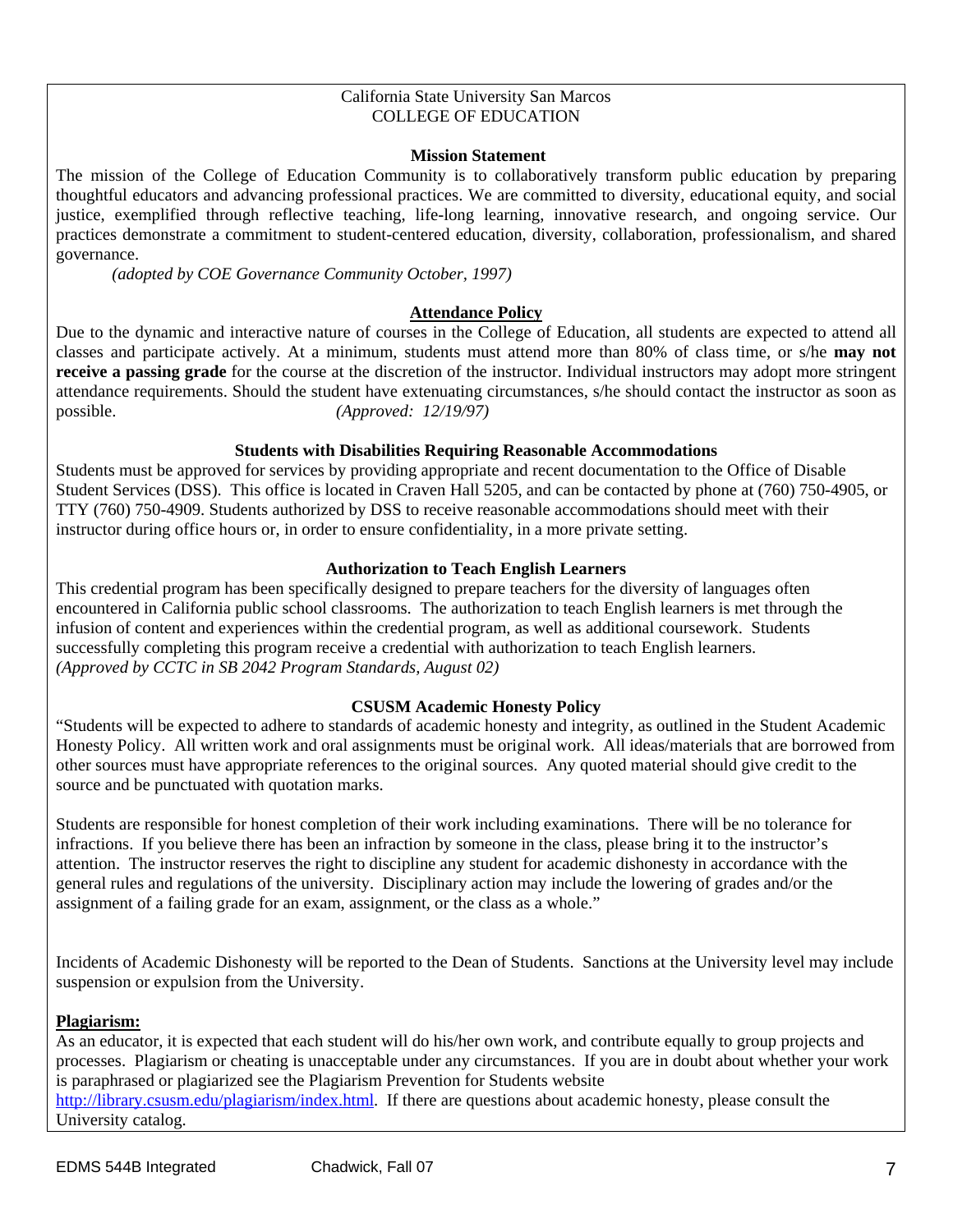#### California State University San Marcos COLLEGE OF EDUCATION

#### **Mission Statement**

The mission of the College of Education Community is to collaboratively transform public education by preparing thoughtful educators and advancing professional practices. We are committed to diversity, educational equity, and social justice, exemplified through reflective teaching, life-long learning, innovative research, and ongoing service. Our practices demonstrate a commitment to student-centered education, diversity, collaboration, professionalism, and shared governance.

*(adopted by COE Governance Community October, 1997)*

# **Attendance Policy**

Due to the dynamic and interactive nature of courses in the College of Education, all students are expected to attend all classes and participate actively. At a minimum, students must attend more than 80% of class time, or s/he **may not receive a passing grade** for the course at the discretion of the instructor. Individual instructors may adopt more stringent attendance requirements. Should the student have extenuating circumstances, s/he should contact the instructor as soon as possible. *(Approved: 12/19/97)* 

# **Students with Disabilities Requiring Reasonable Accommodations**

Students must be approved for services by providing appropriate and recent documentation to the Office of Disable Student Services (DSS). This office is located in Craven Hall 5205, and can be contacted by phone at (760) 750-4905, or TTY (760) 750-4909. Students authorized by DSS to receive reasonable accommodations should meet with their instructor during office hours or, in order to ensure confidentiality, in a more private setting.

## **Authorization to Teach English Learners**

This credential program has been specifically designed to prepare teachers for the diversity of languages often encountered in California public school classrooms. The authorization to teach English learners is met through the infusion of content and experiences within the credential program, as well as additional coursework. Students successfully completing this program receive a credential with authorization to teach English learners. *(Approved by CCTC in SB 2042 Program Standards, August 02)*

## **CSUSM Academic Honesty Policy**

"Students will be expected to adhere to standards of academic honesty and integrity, as outlined in the Student Academic Honesty Policy. All written work and oral assignments must be original work. All ideas/materials that are borrowed from other sources must have appropriate references to the original sources. Any quoted material should give credit to the source and be punctuated with quotation marks.

Students are responsible for honest completion of their work including examinations. There will be no tolerance for infractions. If you believe there has been an infraction by someone in the class, please bring it to the instructor's attention. The instructor reserves the right to discipline any student for academic dishonesty in accordance with the general rules and regulations of the university. Disciplinary action may include the lowering of grades and/or the assignment of a failing grade for an exam, assignment, or the class as a whole."

Incidents of Academic Dishonesty will be reported to the Dean of Students. Sanctions at the University level may include suspension or expulsion from the University.

## **Plagiarism:**

As an educator, it is expected that each student will do his/her own work, and contribute equally to group projects and processes. Plagiarism or cheating is unacceptable under any circumstances. If you are in doubt about whether your work is paraphrased or plagiarized see the Plagiarism Prevention for Students website http://library.csusm.edu/plagiarism/index.html. If there are questions about academic honesty, please consult the University catalog.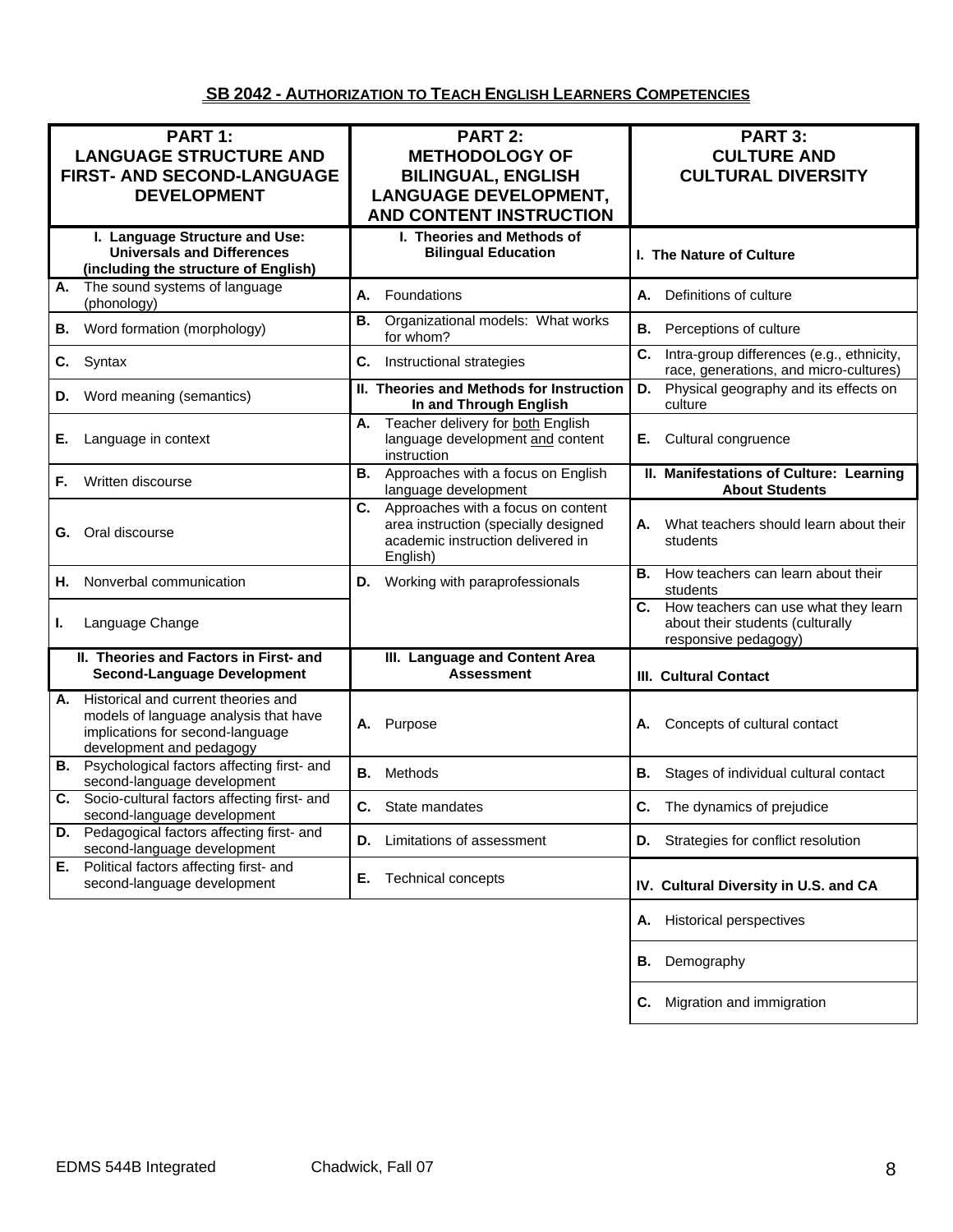# **SB 2042 - AUTHORIZATION TO TEACH ENGLISH LEARNERS COMPETENCIES**

| PART 1:<br><b>LANGUAGE STRUCTURE AND</b><br>FIRST- AND SECOND-LANGUAGE<br><b>DEVELOPMENT</b>                                                       | <b>PART 2:</b><br><b>METHODOLOGY OF</b><br><b>BILINGUAL, ENGLISH</b><br><b>LANGUAGE DEVELOPMENT,</b><br><b>AND CONTENT INSTRUCTION</b> | PART 3:<br><b>CULTURE AND</b><br><b>CULTURAL DIVERSITY</b>                                          |
|----------------------------------------------------------------------------------------------------------------------------------------------------|----------------------------------------------------------------------------------------------------------------------------------------|-----------------------------------------------------------------------------------------------------|
| I. Language Structure and Use:<br><b>Universals and Differences</b><br>(including the structure of English)                                        | I. Theories and Methods of<br><b>Bilingual Education</b>                                                                               | I. The Nature of Culture                                                                            |
| The sound systems of language<br>А.<br>(phonology)                                                                                                 | Foundations<br>А.                                                                                                                      | Definitions of culture<br>А.                                                                        |
| Word formation (morphology)<br>В.                                                                                                                  | Organizational models: What works<br>В.<br>for whom?                                                                                   | Perceptions of culture<br>В.                                                                        |
| C.<br>Syntax                                                                                                                                       | C.<br>Instructional strategies                                                                                                         | C.<br>Intra-group differences (e.g., ethnicity,<br>race, generations, and micro-cultures)           |
| Word meaning (semantics)<br>D.                                                                                                                     | II. Theories and Methods for Instruction<br>In and Through English                                                                     | Physical geography and its effects on<br>D.<br>culture                                              |
| Language in context<br>Е.                                                                                                                          | Teacher delivery for both English<br>А.<br>language development and content<br>instruction                                             | Cultural congruence<br>Е.                                                                           |
| Written discourse<br>F.                                                                                                                            | В.<br>Approaches with a focus on English<br>language development                                                                       | II. Manifestations of Culture: Learning<br><b>About Students</b>                                    |
| Oral discourse<br>G.                                                                                                                               | Approaches with a focus on content<br>C.<br>area instruction (specially designed<br>academic instruction delivered in<br>English)      | What teachers should learn about their<br>А.<br>students                                            |
| Nonverbal communication<br>Н.                                                                                                                      | Working with paraprofessionals<br>D.                                                                                                   | В.<br>How teachers can learn about their<br>students                                                |
| Language Change<br>L.                                                                                                                              |                                                                                                                                        | C. How teachers can use what they learn<br>about their students (culturally<br>responsive pedagogy) |
| II. Theories and Factors in First- and<br><b>Second-Language Development</b>                                                                       | III. Language and Content Area<br><b>Assessment</b>                                                                                    | <b>III. Cultural Contact</b>                                                                        |
| Historical and current theories and<br>А.<br>models of language analysis that have<br>implications for second-language<br>development and pedagogy | Purpose<br>А.                                                                                                                          | Concepts of cultural contact<br>А.                                                                  |
| <b>B.</b> Psychological factors affecting first- and<br>second-language development                                                                | В.<br>Methods                                                                                                                          | Stages of individual cultural contact<br>В.                                                         |
| Socio-cultural factors affecting first- and<br>C.<br>second-language development                                                                   | <b>C.</b> State mandates                                                                                                               | C. The dynamics of prejudice                                                                        |
| Pedagogical factors affecting first- and<br>D.<br>second-language development                                                                      | Limitations of assessment<br>D.                                                                                                        | Strategies for conflict resolution<br>D.                                                            |
| Political factors affecting first- and<br>Е.<br>second-language development                                                                        | Е.<br><b>Technical concepts</b>                                                                                                        | IV. Cultural Diversity in U.S. and CA                                                               |
|                                                                                                                                                    |                                                                                                                                        | <b>Historical perspectives</b><br>Α.                                                                |
|                                                                                                                                                    |                                                                                                                                        | Demography<br>В.                                                                                    |
|                                                                                                                                                    |                                                                                                                                        | Migration and immigration<br>С.                                                                     |